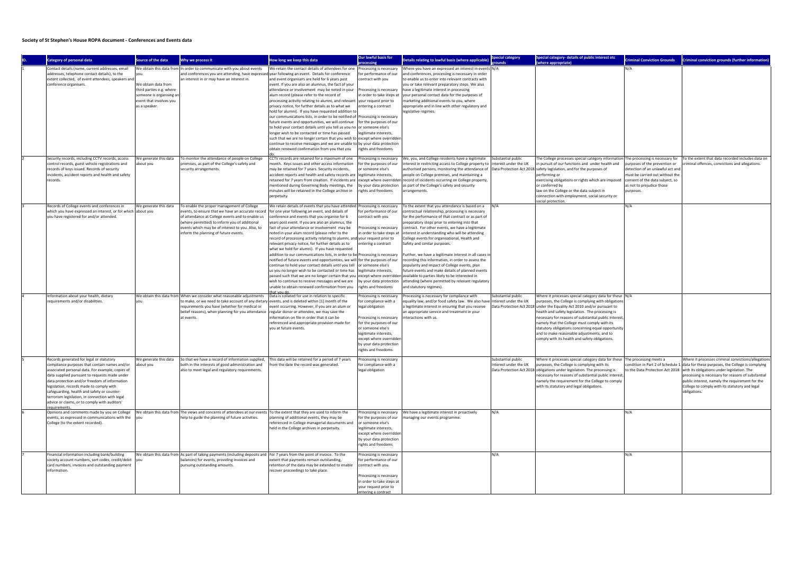## Society of St Stephen's House ROPA document - Conferences and Events data

|  |                                                                                         |                          |                                                                                                                            |                                                                                                                                                           | Our lawful basis for      |                                                                                                                                  | <b>special category</b> | Special category- details of public interest etc                                   |                                    |                                                                                                                                                                                                                                                                                                                                                                                                                                                                                                                                |
|--|-----------------------------------------------------------------------------------------|--------------------------|----------------------------------------------------------------------------------------------------------------------------|-----------------------------------------------------------------------------------------------------------------------------------------------------------|---------------------------|----------------------------------------------------------------------------------------------------------------------------------|-------------------------|------------------------------------------------------------------------------------|------------------------------------|--------------------------------------------------------------------------------------------------------------------------------------------------------------------------------------------------------------------------------------------------------------------------------------------------------------------------------------------------------------------------------------------------------------------------------------------------------------------------------------------------------------------------------|
|  | Category of personal data                                                               | Source of the data       | Why we process it                                                                                                          | How long we keep this data                                                                                                                                | rocessing                 | Details relating to lawful basis (where applicable                                                                               | punds                   | (where appropriate)                                                                | <b>Criminal Conviction Grounds</b> |                                                                                                                                                                                                                                                                                                                                                                                                                                                                                                                                |
|  | Contact details (name, current addresses, email                                         |                          | We obtain this data from In order to communicate with you about events                                                     | We retain the contact details of attendees for one                                                                                                        |                           | Processing is necessary   Where you have an expressed an interest in events N/A                                                  |                         |                                                                                    | N/A                                |                                                                                                                                                                                                                                                                                                                                                                                                                                                                                                                                |
|  | addresses, telephone contact details), to the                                           |                          | and conferences you are attending, have expressed year following an event. Details for conference                          |                                                                                                                                                           | for performance of our    | and conferences, processing is necessary in order                                                                                |                         |                                                                                    |                                    |                                                                                                                                                                                                                                                                                                                                                                                                                                                                                                                                |
|  | extent collected, of event attendees, speakers and                                      |                          | an interest in or may have an interest in.                                                                                 | and event organisers are held for 6 years post                                                                                                            | contract with you         | to enable us to enter into relevant contracts with                                                                               |                         |                                                                                    |                                    |                                                                                                                                                                                                                                                                                                                                                                                                                                                                                                                                |
|  | conference organisers.                                                                  | We obtain data from      |                                                                                                                            | event. If you are also an alumnus, the fact of your                                                                                                       |                           | you or take relevant preparatory steps. We also                                                                                  |                         |                                                                                    |                                    |                                                                                                                                                                                                                                                                                                                                                                                                                                                                                                                                |
|  |                                                                                         | third parties e.g. where |                                                                                                                            | attendance or involvement may be noted in your                                                                                                            | Processing is necessary   | have a legitimate interest in processing                                                                                         |                         |                                                                                    |                                    |                                                                                                                                                                                                                                                                                                                                                                                                                                                                                                                                |
|  |                                                                                         | someone is organising an |                                                                                                                            | alum record (please refer to the record of                                                                                                                | n order to take steps at  | your personal contact data for the purposes of                                                                                   |                         |                                                                                    |                                    |                                                                                                                                                                                                                                                                                                                                                                                                                                                                                                                                |
|  |                                                                                         | event that involves you  |                                                                                                                            | processing activity relating to alumni, and relevant  your request prior to                                                                               |                           | marketing additional events to you, where                                                                                        |                         |                                                                                    |                                    |                                                                                                                                                                                                                                                                                                                                                                                                                                                                                                                                |
|  |                                                                                         | as a speaker.            |                                                                                                                            | privacy notice, for further details as to what we                                                                                                         | entering a contract       | appropriate and in line with other regulatory and                                                                                |                         |                                                                                    |                                    |                                                                                                                                                                                                                                                                                                                                                                                                                                                                                                                                |
|  |                                                                                         |                          |                                                                                                                            | hold for alumni). If you have requested addition to                                                                                                       |                           | legislative regimes.                                                                                                             |                         |                                                                                    |                                    |                                                                                                                                                                                                                                                                                                                                                                                                                                                                                                                                |
|  |                                                                                         |                          |                                                                                                                            | our communications lists, in order to be notified of Processing is necessary                                                                              |                           |                                                                                                                                  |                         |                                                                                    |                                    |                                                                                                                                                                                                                                                                                                                                                                                                                                                                                                                                |
|  |                                                                                         |                          |                                                                                                                            | future events and opportunities, we will continue                                                                                                         | for the purposes of our   |                                                                                                                                  |                         |                                                                                    |                                    |                                                                                                                                                                                                                                                                                                                                                                                                                                                                                                                                |
|  |                                                                                         |                          |                                                                                                                            | to hold your contact details until you tell us you no or someone else's                                                                                   |                           |                                                                                                                                  |                         |                                                                                    |                                    |                                                                                                                                                                                                                                                                                                                                                                                                                                                                                                                                |
|  |                                                                                         |                          |                                                                                                                            | longer wish to be contacted or time has passed                                                                                                            | legitimate interests,     |                                                                                                                                  |                         |                                                                                    |                                    | Criminal conviction grounds (further information<br>To the extent that data recorded includes data on<br>iminal offences, convictions and allegations.<br>Where it processes criminal convictions/allegations<br>data for these purposes, the College is complying<br>to the Data Protection Act 2018   with its obligations under legislation. The<br>processing is necessary for reasons of substantial<br>public interest, namely the requirement for the<br>College to comply with its statutory and legal<br>obligations. |
|  |                                                                                         |                          |                                                                                                                            | such that we are no longer certain that you wish to lexcept where overridden<br>continue to receive messages and we are unable to by your data protection |                           |                                                                                                                                  |                         |                                                                                    |                                    |                                                                                                                                                                                                                                                                                                                                                                                                                                                                                                                                |
|  |                                                                                         |                          |                                                                                                                            | obtain renewed confirmation from you that you                                                                                                             | rights and freedoms       |                                                                                                                                  |                         |                                                                                    |                                    |                                                                                                                                                                                                                                                                                                                                                                                                                                                                                                                                |
|  |                                                                                         |                          |                                                                                                                            |                                                                                                                                                           |                           |                                                                                                                                  |                         |                                                                                    |                                    |                                                                                                                                                                                                                                                                                                                                                                                                                                                                                                                                |
|  | Security records, including CCTV records, access                                        | We generate this data    | To monitor the attendance of people on College                                                                             | CCTV records are retained for a maximum of one                                                                                                            | Processing is necessary   | We, you, and College residents have a legitimate                                                                                 | Substantial public      | The College processes special category information The processing is necessary for |                                    |                                                                                                                                                                                                                                                                                                                                                                                                                                                                                                                                |
|  | control records, guest vehicle registrations and                                        | about you                | premises, as part of the College's safety and                                                                              | month. Keys issues and other access information                                                                                                           | for the purposes of our   | interest in restricting access to College property to  interest under the UK                                                     |                         | in pursuit of our functions and under health and                                   | purposes of the prevention or      |                                                                                                                                                                                                                                                                                                                                                                                                                                                                                                                                |
|  | records of keys issued. Records of security                                             |                          | security arrangements.                                                                                                     | may be retained for 7 years. Security incidents,                                                                                                          | or someone else's         | authorised persons, monitoring the attendance of  Data Protection Act 2018 safety legislation, and for the purposes of           |                         |                                                                                    | detection of an unlawful act and   |                                                                                                                                                                                                                                                                                                                                                                                                                                                                                                                                |
|  | incidents, accident reports and health and safety                                       |                          |                                                                                                                            | accident reports and health and safety records are  legitimate interests,                                                                                 |                           | people on College premises, and maintaining a                                                                                    |                         | performing or                                                                      | must be carried out without the    |                                                                                                                                                                                                                                                                                                                                                                                                                                                                                                                                |
|  | records.                                                                                |                          |                                                                                                                            |                                                                                                                                                           |                           | retained for 7 years from creation. If incidents are  except where overridden record of incidents occurring on College property, |                         | exercising obligations or rights which are imposed consent of the data subject, so |                                    |                                                                                                                                                                                                                                                                                                                                                                                                                                                                                                                                |
|  |                                                                                         |                          |                                                                                                                            | mentioned during Governing Body meetings, the                                                                                                             | by your data protection   | as part of the College's safety and security                                                                                     |                         | or conferred by                                                                    | as not to prejudice those          |                                                                                                                                                                                                                                                                                                                                                                                                                                                                                                                                |
|  |                                                                                         |                          |                                                                                                                            | minutes will be retained in the College archive in                                                                                                        | rights and freedoms       | arrangements.                                                                                                                    |                         | law on the College or the data subject in                                          | purposes.                          |                                                                                                                                                                                                                                                                                                                                                                                                                                                                                                                                |
|  |                                                                                         |                          |                                                                                                                            | perpetuity.                                                                                                                                               |                           |                                                                                                                                  |                         | connection with employment, social security or                                     |                                    |                                                                                                                                                                                                                                                                                                                                                                                                                                                                                                                                |
|  | Records of College events and conferences in                                            | We generate this data    | To enable the proper management of College                                                                                 | We retain details of events that you have attended   Processing is necessary                                                                              |                           | To the extent that you attendance is based on a                                                                                  |                         | social protection.                                                                 | N/A                                |                                                                                                                                                                                                                                                                                                                                                                                                                                                                                                                                |
|  | which you have expressed an interest, or for which about you                            |                          | events, to ensure that we have an accurate recor                                                                           | for one year following an event, and details of                                                                                                           | for performance of our    | contractual relationship, processing is necessary                                                                                |                         |                                                                                    |                                    |                                                                                                                                                                                                                                                                                                                                                                                                                                                                                                                                |
|  | you have registered for and/or attended.                                                |                          | of attendance at College events and to enable us                                                                           | conference and events that you organise for 6                                                                                                             | contract with you         | for the performance of that contract or as part of                                                                               |                         |                                                                                    |                                    |                                                                                                                                                                                                                                                                                                                                                                                                                                                                                                                                |
|  |                                                                                         |                          | (where permitted) to inform you of additional                                                                              | years post event. If you are also an alumnus, the                                                                                                         |                           | preparatory steps prior to entering into that                                                                                    |                         |                                                                                    |                                    |                                                                                                                                                                                                                                                                                                                                                                                                                                                                                                                                |
|  |                                                                                         |                          | events which may be of interest to you. Also, to                                                                           | fact of your attendance or involvement may be                                                                                                             | Processing is necessary   | contract. For other events, we have a legitimate                                                                                 |                         |                                                                                    |                                    |                                                                                                                                                                                                                                                                                                                                                                                                                                                                                                                                |
|  |                                                                                         |                          | inform the planning of future events.                                                                                      | noted in your alum record (please refer to the                                                                                                            | n order to take steps at  | interest in understanding who will be attending                                                                                  |                         |                                                                                    |                                    |                                                                                                                                                                                                                                                                                                                                                                                                                                                                                                                                |
|  |                                                                                         |                          |                                                                                                                            | record of processing activity relating to alumni, and your request prior to                                                                               |                           | College events for organisational, Health and                                                                                    |                         |                                                                                    |                                    |                                                                                                                                                                                                                                                                                                                                                                                                                                                                                                                                |
|  |                                                                                         |                          |                                                                                                                            | relevant privacy notice, for further details as to                                                                                                        | entering a contract       | Safety and similar purposes.                                                                                                     |                         |                                                                                    |                                    |                                                                                                                                                                                                                                                                                                                                                                                                                                                                                                                                |
|  |                                                                                         |                          |                                                                                                                            | what we hold for alumni). If you have requested                                                                                                           |                           |                                                                                                                                  |                         |                                                                                    |                                    |                                                                                                                                                                                                                                                                                                                                                                                                                                                                                                                                |
|  |                                                                                         |                          |                                                                                                                            | addition to our communications lists, in order to be Processing is necessary                                                                              |                           | Further, we have a legitimate interest in all cases in                                                                           |                         |                                                                                    |                                    |                                                                                                                                                                                                                                                                                                                                                                                                                                                                                                                                |
|  |                                                                                         |                          |                                                                                                                            | notified of future events and opportunities, we will for the purposes of our                                                                              |                           | recording this information, in order to assess the                                                                               |                         |                                                                                    |                                    |                                                                                                                                                                                                                                                                                                                                                                                                                                                                                                                                |
|  |                                                                                         |                          |                                                                                                                            | continue to hold your contact details until you tell or someone else's                                                                                    |                           | popularity and impact of College events, plan                                                                                    |                         |                                                                                    |                                    |                                                                                                                                                                                                                                                                                                                                                                                                                                                                                                                                |
|  |                                                                                         |                          |                                                                                                                            | us you no longer wish to be contacted or time has                                                                                                         | legitimate interests,     | future events and make details of planned events                                                                                 |                         |                                                                                    |                                    |                                                                                                                                                                                                                                                                                                                                                                                                                                                                                                                                |
|  |                                                                                         |                          |                                                                                                                            | passed such that we are no longer certain that you  except where overridden available to parties likely to be interested in                               |                           |                                                                                                                                  |                         |                                                                                    |                                    |                                                                                                                                                                                                                                                                                                                                                                                                                                                                                                                                |
|  |                                                                                         |                          |                                                                                                                            | wish to continue to receive messages and we are                                                                                                           | by your data protection   | attending (where permitted by relevant regulatory                                                                                |                         |                                                                                    |                                    |                                                                                                                                                                                                                                                                                                                                                                                                                                                                                                                                |
|  |                                                                                         |                          |                                                                                                                            | unable to obtain renewed confirmation from you                                                                                                            | rights and freedoms       | and statutory regimes).                                                                                                          |                         |                                                                                    |                                    |                                                                                                                                                                                                                                                                                                                                                                                                                                                                                                                                |
|  | Information about your health, dietary                                                  |                          | We obtain this data from When we consider what reasonable adjustments                                                      | that vou do<br>Data is collated for use in relation to specific                                                                                           | Processing is necessary   | Processing is necessary for compliance with                                                                                      | Substantial public      | Where it processes special category data for these N/A                             |                                    |                                                                                                                                                                                                                                                                                                                                                                                                                                                                                                                                |
|  | requirements and/or disabilities.                                                       | vou                      | to make, or we need to take account of any dietary events, and is deleted within [1] month of the                          |                                                                                                                                                           | for compliance with a     | equality law, and/or food safety law. We also have interest under the UK                                                         |                         | purposes, the College is complying with obligations                                |                                    |                                                                                                                                                                                                                                                                                                                                                                                                                                                                                                                                |
|  |                                                                                         |                          | requirements you have (whether for medical or                                                                              | event occurring. However, if you are an alum or                                                                                                           | legal obligation          | a legitimate interest in ensuring that you receive                                                                               |                         | Data Protection Act 2018 under the Equality Act 2010 and/or pursuant to            |                                    |                                                                                                                                                                                                                                                                                                                                                                                                                                                                                                                                |
|  |                                                                                         |                          | belief reasons), when planning for you attendance regular donor or attendee, we may save the                               |                                                                                                                                                           |                           | an appropriate service and treatment in your                                                                                     |                         | health and safety legislation. The processing is                                   |                                    |                                                                                                                                                                                                                                                                                                                                                                                                                                                                                                                                |
|  |                                                                                         |                          | at events.                                                                                                                 | information on file in order that it can be                                                                                                               | Processing is necessary   | interactions with us.                                                                                                            |                         | necessary for reasons of substantial public interest,                              |                                    |                                                                                                                                                                                                                                                                                                                                                                                                                                                                                                                                |
|  |                                                                                         |                          |                                                                                                                            | referenced and appropriate provision made for                                                                                                             | for the purposes of our   |                                                                                                                                  |                         | namely that the College must comply with its                                       |                                    |                                                                                                                                                                                                                                                                                                                                                                                                                                                                                                                                |
|  |                                                                                         |                          |                                                                                                                            | you at future events.                                                                                                                                     | or someone else's         |                                                                                                                                  |                         | statutory obligations concerning equal opportunity                                 |                                    |                                                                                                                                                                                                                                                                                                                                                                                                                                                                                                                                |
|  |                                                                                         |                          |                                                                                                                            |                                                                                                                                                           | legitimate interests,     |                                                                                                                                  |                         | and to make reasonable adjustments, and to                                         |                                    |                                                                                                                                                                                                                                                                                                                                                                                                                                                                                                                                |
|  |                                                                                         |                          |                                                                                                                            |                                                                                                                                                           | except where overridder   |                                                                                                                                  |                         | comply with its health and safety obligations.                                     |                                    |                                                                                                                                                                                                                                                                                                                                                                                                                                                                                                                                |
|  |                                                                                         |                          |                                                                                                                            |                                                                                                                                                           | by your data protection   |                                                                                                                                  |                         |                                                                                    |                                    |                                                                                                                                                                                                                                                                                                                                                                                                                                                                                                                                |
|  |                                                                                         |                          |                                                                                                                            |                                                                                                                                                           | rights and freedoms       |                                                                                                                                  |                         |                                                                                    |                                    |                                                                                                                                                                                                                                                                                                                                                                                                                                                                                                                                |
|  |                                                                                         |                          |                                                                                                                            |                                                                                                                                                           |                           |                                                                                                                                  |                         |                                                                                    |                                    |                                                                                                                                                                                                                                                                                                                                                                                                                                                                                                                                |
|  | Records generated for legal or statutory                                                | We generate this data    | So that we have a record of information supplied,                                                                          | This data will be retained for a period of 7 years                                                                                                        | Processing is necessary   |                                                                                                                                  | Substantial public      | Where it processes special category data for these The processing meets a          |                                    |                                                                                                                                                                                                                                                                                                                                                                                                                                                                                                                                |
|  | compliance purposes that contain names and/or                                           | about you                | both in the interests of good administration and                                                                           | from the date the record was generated.                                                                                                                   | for compliance with a     |                                                                                                                                  | interest under the UK   | purposes, the College is complying with its                                        | condition in Part 2 of Schedule 1  |                                                                                                                                                                                                                                                                                                                                                                                                                                                                                                                                |
|  | associated personal data. For example, copies of                                        |                          | also to meet legal and regulatory requirements.                                                                            |                                                                                                                                                           | legal obligation          |                                                                                                                                  |                         | Data Protection Act 2018 obligations under legislation. The processing is          |                                    |                                                                                                                                                                                                                                                                                                                                                                                                                                                                                                                                |
|  | data supplied pursuant to requests made under                                           |                          |                                                                                                                            |                                                                                                                                                           |                           |                                                                                                                                  |                         | necessary for reasons of substantial public interest,                              |                                    |                                                                                                                                                                                                                                                                                                                                                                                                                                                                                                                                |
|  | data protection and/or freedom of information                                           |                          |                                                                                                                            |                                                                                                                                                           |                           |                                                                                                                                  |                         | namely the requirement for the College to comply                                   |                                    |                                                                                                                                                                                                                                                                                                                                                                                                                                                                                                                                |
|  | legislation, records made to comply with<br>safeguarding, health and safety or counter- |                          |                                                                                                                            |                                                                                                                                                           |                           |                                                                                                                                  |                         | with its statutory and legal obligations                                           |                                    |                                                                                                                                                                                                                                                                                                                                                                                                                                                                                                                                |
|  | terrorism legislation, in connection with legal                                         |                          |                                                                                                                            |                                                                                                                                                           |                           |                                                                                                                                  |                         |                                                                                    |                                    |                                                                                                                                                                                                                                                                                                                                                                                                                                                                                                                                |
|  | advice or claims, or to comply with auditors'                                           |                          |                                                                                                                            |                                                                                                                                                           |                           |                                                                                                                                  |                         |                                                                                    |                                    |                                                                                                                                                                                                                                                                                                                                                                                                                                                                                                                                |
|  | <u>equirements</u>                                                                      |                          |                                                                                                                            |                                                                                                                                                           |                           |                                                                                                                                  |                         |                                                                                    |                                    |                                                                                                                                                                                                                                                                                                                                                                                                                                                                                                                                |
|  | Opinions and comments made by you on College                                            |                          | We obtain this data from The views and concerns of attendees at our events To the extent that they are used to inform the  |                                                                                                                                                           |                           | Processing is necessary   We have a legitimate interest in proactively                                                           | N/A                     |                                                                                    | N/A                                |                                                                                                                                                                                                                                                                                                                                                                                                                                                                                                                                |
|  | events, as expressed in communications with the                                         | lyou                     | help to guide the planning of future activities.                                                                           | planning of additional events, they may be                                                                                                                | for the purposes of our   | managing our events programme.                                                                                                   |                         |                                                                                    |                                    |                                                                                                                                                                                                                                                                                                                                                                                                                                                                                                                                |
|  | College (to the extent recorded).                                                       |                          |                                                                                                                            | referenced in College managerial documents and                                                                                                            | or someone else's         |                                                                                                                                  |                         |                                                                                    |                                    |                                                                                                                                                                                                                                                                                                                                                                                                                                                                                                                                |
|  |                                                                                         |                          |                                                                                                                            | held in the College archives in perpetuity.                                                                                                               | legitimate interests,     |                                                                                                                                  |                         |                                                                                    |                                    |                                                                                                                                                                                                                                                                                                                                                                                                                                                                                                                                |
|  |                                                                                         |                          |                                                                                                                            |                                                                                                                                                           | except where overridden   |                                                                                                                                  |                         |                                                                                    |                                    |                                                                                                                                                                                                                                                                                                                                                                                                                                                                                                                                |
|  |                                                                                         |                          |                                                                                                                            |                                                                                                                                                           | by your data protection   |                                                                                                                                  |                         |                                                                                    |                                    |                                                                                                                                                                                                                                                                                                                                                                                                                                                                                                                                |
|  |                                                                                         |                          |                                                                                                                            |                                                                                                                                                           | rights and freedoms       |                                                                                                                                  |                         |                                                                                    |                                    |                                                                                                                                                                                                                                                                                                                                                                                                                                                                                                                                |
|  |                                                                                         |                          |                                                                                                                            |                                                                                                                                                           |                           |                                                                                                                                  |                         |                                                                                    |                                    |                                                                                                                                                                                                                                                                                                                                                                                                                                                                                                                                |
|  | Financial information including bank/building                                           |                          | We obtain this data from As part of taking payments (including deposits and  For 7 years from the point of invoice. To the |                                                                                                                                                           | Processing is necessary   |                                                                                                                                  | N/A                     |                                                                                    | N/A                                |                                                                                                                                                                                                                                                                                                                                                                                                                                                                                                                                |
|  | society account numbers, sort codes, credit/debit                                       | lyou                     | balances) for events, providing invoices and                                                                               | extent that payments remain outstanding,                                                                                                                  | or performance of our     |                                                                                                                                  |                         |                                                                                    |                                    |                                                                                                                                                                                                                                                                                                                                                                                                                                                                                                                                |
|  | card numbers, invoices and outstanding payment                                          |                          | pursuing outstanding amounts.                                                                                              | retention of the data may be extended to enable                                                                                                           | contract with you.        |                                                                                                                                  |                         |                                                                                    |                                    |                                                                                                                                                                                                                                                                                                                                                                                                                                                                                                                                |
|  | information.                                                                            |                          |                                                                                                                            | recover proceedings to take place.                                                                                                                        |                           |                                                                                                                                  |                         |                                                                                    |                                    |                                                                                                                                                                                                                                                                                                                                                                                                                                                                                                                                |
|  |                                                                                         |                          |                                                                                                                            |                                                                                                                                                           | Processing is necessary   |                                                                                                                                  |                         |                                                                                    |                                    |                                                                                                                                                                                                                                                                                                                                                                                                                                                                                                                                |
|  |                                                                                         |                          |                                                                                                                            |                                                                                                                                                           | in order to take steps at |                                                                                                                                  |                         |                                                                                    |                                    |                                                                                                                                                                                                                                                                                                                                                                                                                                                                                                                                |
|  |                                                                                         |                          |                                                                                                                            |                                                                                                                                                           | your request prior to     |                                                                                                                                  |                         |                                                                                    |                                    |                                                                                                                                                                                                                                                                                                                                                                                                                                                                                                                                |
|  |                                                                                         |                          |                                                                                                                            |                                                                                                                                                           | entering a contract       |                                                                                                                                  |                         |                                                                                    |                                    |                                                                                                                                                                                                                                                                                                                                                                                                                                                                                                                                |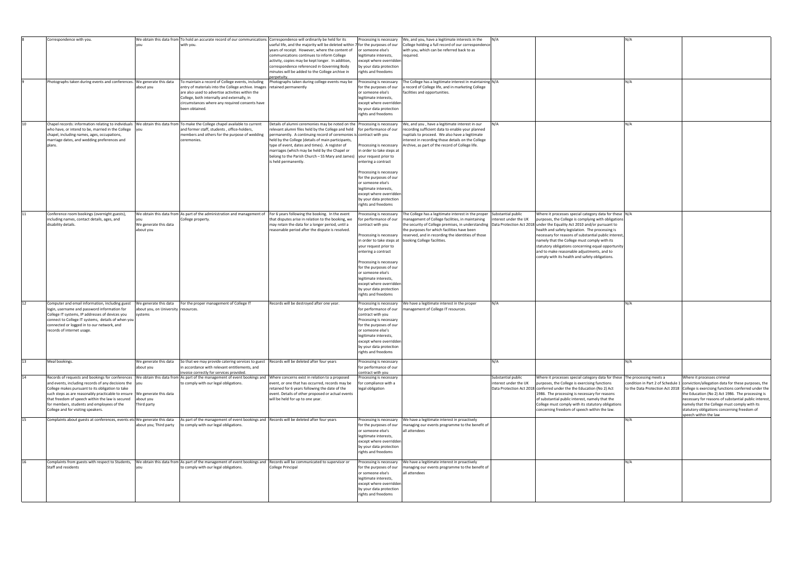| 10 | Correspondence with you.<br>Photographs taken during events and conferences. We generate this data                                                                                                                                                                                                                                                                   | about you                                                                 | We obtain this data from To hold an accurate record of our communications Correspondence will ordinarily be held for its<br>with you.<br>To maintain a record of College events, including<br>entry of materials into the College archive. Images   retained permanently<br>are also used to advertise activities within the<br>College, both internally and externally, in<br>circumstances where any required consents have<br>been obtained. | useful life, and the majority will be deleted within<br>years of receipt. However, where the content of<br>communications continues to inform College<br>activity, copies may be kept longer. In addition,<br>correspondence referenced in Governing Body<br>minutes will be added to the College archive in<br>perpetuity<br>Photographs taken during college events may be                                       | Processing is necessary<br>/for the purposes of our<br>or someone else's<br>legitimate interests,<br>except where overridden<br>by your data protection<br>rights and freedoms<br>Processing is necessary<br>for the purposes of our<br>or someone else's<br>legitimate interests,<br>except where overridden<br>by your data protection<br>rights and freedoms | We, and you, have a legitimate interests in the<br>College holding a full record of our correspondence<br>with you, which can be referred back to as<br>required.<br>The College has a legitimate interest in maintaining N/A<br>record of College life, and in marketing College<br>facilities and opportunities.                                                                                                       | N/A<br>N/A                                  |                                                                                                                                                                                                                                                                                                                                                                                                                                  | N/A<br>N/A<br>N/A      |                                                                                                                                                                                                                                                                                                                                                                                                                                                     |
|----|----------------------------------------------------------------------------------------------------------------------------------------------------------------------------------------------------------------------------------------------------------------------------------------------------------------------------------------------------------------------|---------------------------------------------------------------------------|-------------------------------------------------------------------------------------------------------------------------------------------------------------------------------------------------------------------------------------------------------------------------------------------------------------------------------------------------------------------------------------------------------------------------------------------------|--------------------------------------------------------------------------------------------------------------------------------------------------------------------------------------------------------------------------------------------------------------------------------------------------------------------------------------------------------------------------------------------------------------------|-----------------------------------------------------------------------------------------------------------------------------------------------------------------------------------------------------------------------------------------------------------------------------------------------------------------------------------------------------------------|--------------------------------------------------------------------------------------------------------------------------------------------------------------------------------------------------------------------------------------------------------------------------------------------------------------------------------------------------------------------------------------------------------------------------|---------------------------------------------|----------------------------------------------------------------------------------------------------------------------------------------------------------------------------------------------------------------------------------------------------------------------------------------------------------------------------------------------------------------------------------------------------------------------------------|------------------------|-----------------------------------------------------------------------------------------------------------------------------------------------------------------------------------------------------------------------------------------------------------------------------------------------------------------------------------------------------------------------------------------------------------------------------------------------------|
|    | Chapel records: information relating to individuals  We obtain this data from To make the College chapel available to current<br>who have, or intend to be, married in the College<br>chapel, including names, ages, occupations,<br>marriage dates, and wedding preferences and<br>plans.                                                                           | lyou                                                                      | and former staff, students, office-holders,<br>members and others for the purpose of wedding<br>ceremonies.                                                                                                                                                                                                                                                                                                                                     | Details of alumni ceremonies may be noted on the<br>relevant alumni files held by the College and held<br>permanently. A continuing record of ceremonies is contract with you<br>held by the College (details of main participants,<br>type of event, dates and times). A register of<br>marriages (which may be held by the Chapel or<br>belong to the Parish Church - SS Mary and James)<br>is held permanently. | Processing is necessary<br>for performance of our<br>Processing is necessary<br>in order to take steps at<br>your request prior to<br>entering a contract<br>Processing is necessary<br>for the purposes of our<br>or someone else's<br>legitimate interests,<br>except where overridder<br>by your data protection<br>rights and freedoms                      | We, and you, have a legitimate interest in our<br>ecording sufficient data to enable your planned<br>nuptials to proceed. We also have a legitimate<br>interest in recording those details on the College<br>Archive, as part of the record of College life.                                                                                                                                                             |                                             |                                                                                                                                                                                                                                                                                                                                                                                                                                  |                        |                                                                                                                                                                                                                                                                                                                                                                                                                                                     |
| 11 | Conference room bookings (overnight guests),<br>including names, contact details, ages, and<br>disability details.                                                                                                                                                                                                                                                   | you<br>We generate this data<br>about you                                 | We obtain this data from As part of the administration and management of For 6 years following the booking. In the event<br>College property                                                                                                                                                                                                                                                                                                    | that disputes arise in relation to the booking, we<br>may retain the data for a longer period, until a<br>reasonable period after the dispute is resolved.                                                                                                                                                                                                                                                         | Processing is necessary<br>for performance of our<br>contract with you<br>Processing is necessary<br>your request prior to<br>entering a contract<br>Processing is necessary<br>for the purposes of our<br>or someone else's<br>legitimate interests,<br>except where overridder<br>by your data protection<br>rights and freedoms                              | The College has a legitimate interest in the proper Substantial public<br>management of College facilities, in maintaining<br>the security of College premises, in understanding  Data Protection Act 2018 under the Equality Act 2010 and/or pursuant to<br>the purposes for which facilities have been<br>reserved, and in recording the identities of those<br>in order to take steps at  booking College facilities. | interest under the UK                       | Where it processes special category data for these N/A<br>purposes, the College is complying with obligations<br>health and safety legislation. The processing is<br>necessary for reasons of substantial public interest,<br>namely that the College must comply with its<br>statutory obligations concerning equal opportunity<br>and to make reasonable adjustments, and to<br>comply with its health and safety obligations. |                        |                                                                                                                                                                                                                                                                                                                                                                                                                                                     |
| 12 | Computer and email information, including guest<br>login, username and password information for<br>College IT systems, IP addresses of devices you<br>connect to College IT systems, details of when you<br>connected or logged in to our network, and<br>records of internet usage.                                                                                 | We generate this data<br>about you, on University   resources.<br>systems | For the proper management of College IT                                                                                                                                                                                                                                                                                                                                                                                                         | Records will be destroyed after one year.                                                                                                                                                                                                                                                                                                                                                                          | Processing is necessary<br>for performance of our<br>contract with you<br>Processing is necessary<br>for the purposes of our<br>or someone else's<br>legitimate interests,<br>except where overridden<br>by your data protection<br>rights and freedoms                                                                                                         | We have a legitimate interest in the proper<br>nanagement of College IT resources.                                                                                                                                                                                                                                                                                                                                       | N/A                                         |                                                                                                                                                                                                                                                                                                                                                                                                                                  | N/A                    |                                                                                                                                                                                                                                                                                                                                                                                                                                                     |
|    | Meal bookings.                                                                                                                                                                                                                                                                                                                                                       | We generate this data<br>about you                                        | So that we may provide catering services to guest Records will be deleted after four years<br>in accordance with relevant entitlements, and                                                                                                                                                                                                                                                                                                     |                                                                                                                                                                                                                                                                                                                                                                                                                    | Processing is necessary<br>for performance of our                                                                                                                                                                                                                                                                                                               |                                                                                                                                                                                                                                                                                                                                                                                                                          | N/A                                         |                                                                                                                                                                                                                                                                                                                                                                                                                                  | IN/A                   |                                                                                                                                                                                                                                                                                                                                                                                                                                                     |
|    |                                                                                                                                                                                                                                                                                                                                                                      |                                                                           | invoice correctly for services provided.                                                                                                                                                                                                                                                                                                                                                                                                        |                                                                                                                                                                                                                                                                                                                                                                                                                    | contract with you                                                                                                                                                                                                                                                                                                                                               |                                                                                                                                                                                                                                                                                                                                                                                                                          |                                             |                                                                                                                                                                                                                                                                                                                                                                                                                                  |                        |                                                                                                                                                                                                                                                                                                                                                                                                                                                     |
|    | Records of requests and bookings for conferences<br>and events, including records of any decisions the $\vert$ you<br>College makes pursuant to its obligation to take<br>such steps as are reasonably practicable to ensure<br>that freedom of speech within the law is secured<br>for members, students and employees of the<br>College and for visiting speakers. | We generate this data<br>about you<br>Third party                         | We obtain this data from As part of the management of event bookings and Where concerns exist in relation to a proposed<br>to comply with our legal obligations.                                                                                                                                                                                                                                                                                | event, or one that has occurred, records may be<br>retained for 6 years following the date of the<br>event. Details of other proposed or actual events<br>will be held for up to one year.                                                                                                                                                                                                                         | Processing is necessary<br>for compliance with a<br>legal obligation                                                                                                                                                                                                                                                                                            |                                                                                                                                                                                                                                                                                                                                                                                                                          | Substantial public<br>interest under the UK | Where it processes special category data for these<br>purposes, the College is exercising functions<br>Data Protection Act 2018 conferred under the the Education (No 2) Act<br>1986. The processing is necessary for reasons<br>of substantial public interest, namely that the<br>College must comply with its statutory obligations<br>concerning freedom of speech within the law.                                           | The processing meets a | Where it processes criminal<br>condition in Part 2 of Schedule 1 $ $ conviction/allegation data for these purposes, the<br>to the Data Protection Act 2018 College is exercising functions conferred under the<br>the Education (No 2) Act 1986. The processing is<br>necessary for reasons of substantial public interest,<br>namely that the College must comply with its<br>statutory obligations concerning freedom of<br>speech within the law |
| 15 | Complaints about guests at conferences, events etc We generate this data                                                                                                                                                                                                                                                                                             | about you; Third party                                                    | As part of the management of event bookings and Records will be deleted after four years<br>to comply with our legal obligations.                                                                                                                                                                                                                                                                                                               |                                                                                                                                                                                                                                                                                                                                                                                                                    | Processing is necessary<br>for the purposes of our<br>or someone else's<br>legitimate interests,<br>except where overridden<br>by your data protection<br>rights and freedoms                                                                                                                                                                                   | We have a legitimate interest in proactively<br>managing our events programme to the benefit of<br>all attendees                                                                                                                                                                                                                                                                                                         |                                             |                                                                                                                                                                                                                                                                                                                                                                                                                                  | IN/A                   |                                                                                                                                                                                                                                                                                                                                                                                                                                                     |
| 16 | Complaints from guests with respect to Students,<br>Staff and residents                                                                                                                                                                                                                                                                                              | you                                                                       | We obtain this data from As part of the management of event bookings and Records will be communicated to supervisor or<br>to comply with our legal obligations.                                                                                                                                                                                                                                                                                 | College Principal                                                                                                                                                                                                                                                                                                                                                                                                  | Processing is necessary<br>for the purposes of our<br>or someone else's<br>legitimate interests,<br>except where overridden<br>by your data protection<br>rights and freedoms                                                                                                                                                                                   | We have a legitimate interest in proactively<br>managing our events programme to the benefit of<br>all attendees                                                                                                                                                                                                                                                                                                         |                                             |                                                                                                                                                                                                                                                                                                                                                                                                                                  | N/A                    |                                                                                                                                                                                                                                                                                                                                                                                                                                                     |